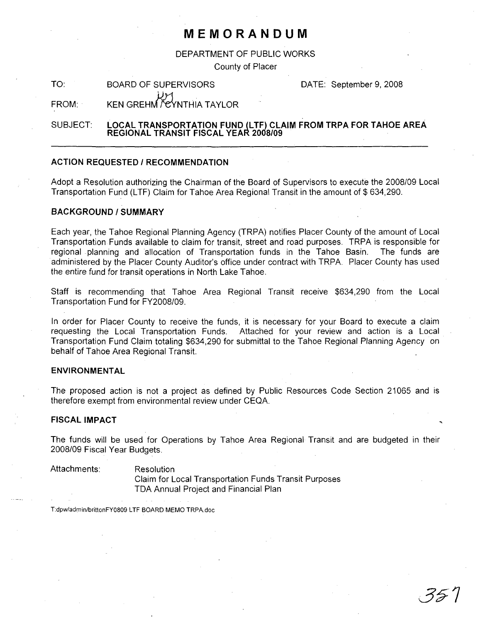# **MEMORANDUM**

DEPARTMENT OF PUBLIC WORKS

County of Placer

TO: BOARD OF SUPERVISORS DATE: September 9, 2008

FROM: KEN GREHM VEYNTHIA TAYLOR

### SUBJECT: **LOCAL TRANSPORTATION FUND (LTF) CLAIM FROM TRPA FOR TAHOE AREA REGIONAL TRANSIT FISCAL YEAR 2008/09**

#### **ACTION REQUESTED / RECOMMENDATION**

Adopt a Resolution authorizing the Chairman of the Board of Supervisors to execute the 2008/09 Local Transportation Fund (LTF) Claim for Tahoe Area Regional Transit in the amount of \$ 634,290.

## **BACKGROUND/SUMMARY**

Each year, the Tahoe Regional Planning Agency (TRPA) notifies Placer County of the amount of Local Transportation Funds available to claim for transit, street and road purposes. TRPA is responsible for regional planning and allocation of Transportation funds in the Tahoe Basin. The funds are administered by the Placer County Auditor's office under contract with TRPA. Placer County has used the entire fund for transit operations in North Lake Tahoe.

Staff is recommending that Tahoe Area Regional Transit receive \$634,290 from the Local Transportation Fund for FY2008/09.

In order for Placer County to receive the funds, it is necessary for your Board to execute a claim requesting the Local Transportation Funds. Attached for your review and action is a Local Transportation Fund Claim totaling \$634,290 for submittal to the Tahoe Regional Planning Agency on behalf of Tahoe Area Regional Transit.

### **ENVIRONMENTAL**

The proposed action is not a project as defined by Public Resources Code Section 21065 and is therefore exempt from environmental review under CEQA.

#### **FISCAL IMPACT**

The funds will be used for Operations by Tahoe Area Regional Transit and are budgeted in their 2008/09 Fiscal Year Budgets.

Attachments: Resolution

Claim for Local Transportation Funds Transit Purposes TDA Annual Project and Financial Plan

T:dpw/admin/brittonFY0809 LTF BOARD MEMO TRPA.doc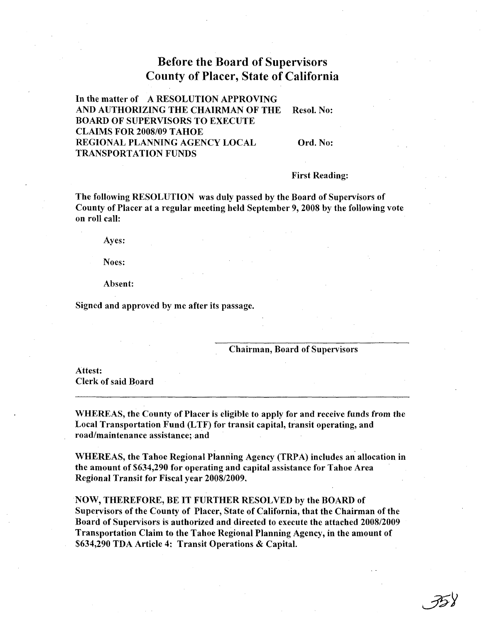# Before the Board of Supervisors County of Placer, State of California

In the matter of A RESOLUTION APPROVING AND AUTHORIZING THE CHAIRMAN OF THE Resol. No: BOARD OF SUPERVISORS TO EXECUTE CLAIMS FOR 2008/09 TAHOE REGIONAL PLANNING AGENCY LOCAL Ord. No: TRANSPORTATION FUNDS

First Reading:

The following RESOLUTION was duly passed by the Board of Supervisors of County of Placer at a regular meeting held September 9, 2008 by the following vote on roll call:

Ayes:

Noes:

Absent:

Signed and approved by me after its passage.

#### Chairman, Board of Supervisors

Attest: Clerk of said Board

WHEREAS, the County of Placer is eligible to apply for and receive funds from the Local Transportation Fund (LTF) for transit capital, transit operating, and road/maintenance assistance; and

WHEREAS, the Tahoe Regional Planning Agency (TRPA) includes an allocation in the amount of \$634,290 for operating and capital assistance for Tahoe Area Regional Transit for Fiscal year 2008/2009.

NOW, THEREFORE, BE IT FURTHER RESOLVED by the BOARD of Supervisors of the County of Placer, State of California, that the Chairman of the Board of Supervisors is authorized and directed to execute the attached 2008/2009 Transportation Claim to the Tahoe Regional Planning Agency, in the amount of \$634,290 TDA Article 4: Transit Operations & Capital.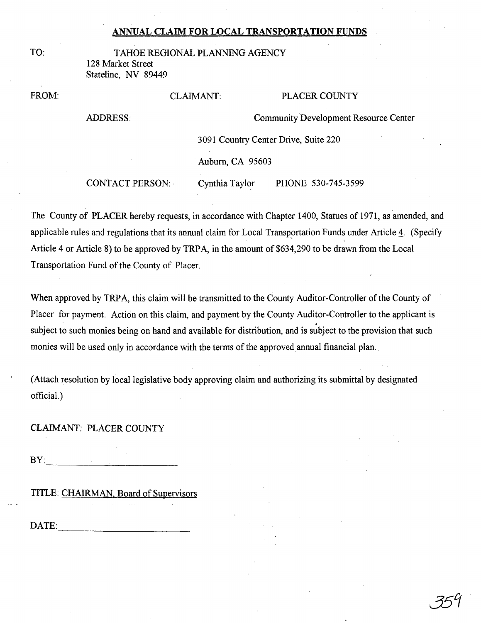# **ANNUAL CLAIM FOR LOCAL TRANSPORTATION FUNDS**

| ۹ |  |
|---|--|

TAHOE REGIONAL PLANNING AGENCY 128 Market Street Stateline, NY 89449

FROM:

## CLAIMANT: PLACER COUNTY

ADDRESS:

CommunityDevelopment Resource Center

3091 Country Center Drive, Suite 220

Auburn, CA 95603

CONTACT PERSON: . Cynthia Taylor PHONE 530-745-3599

The County of PLACER hereby requests, in accordance with Chapter 1400, Statues of 1971, as amended, and applicable rules and regulations that its annual claim for Local Transportation Funds under Article 4. (Specify Article 4 or Article 8) to be approved by TRPA, in the amount of \$634,290 to be drawn from the Local Transportation Fund of the County of Placer.

When approved by TRPA, this claim will be transmitted to the County Auditor-Controller of the County of Placer for payment. Action on this claim, and payment by the County Auditor-Controller to the applicant is subject to such monies being on hand and available for distribution, and is subject to the provision that such monies will be used only in accordance with the terms of the approved annual financial plan.

(Attach resolution by local legislative body approving claim and authorizing its submittal by designated official.)

CLAIMANT: PLACER COUNTY

 $BY:$ 

TITLE: CHAIRMAN, Board of Supervisors

DATE:------------